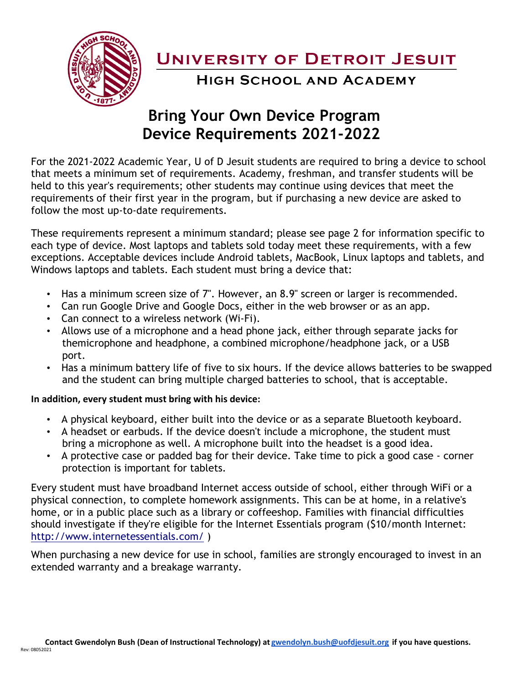

**UNIVERSITY OF DETROIT JESUIT** 

**HIGH SCHOOL AND ACADEMY** 

## **Bring Your Own Device Program Device Requirements 2021-2022**

For the 2021-2022 Academic Year, U of D Jesuit students are required to bring a device to school that meets a minimum set of requirements. Academy, freshman, and transfer students will be held to this year's requirements; other students may continue using devices that meet the requirements of their first year in the program, but if purchasing a new device are asked to follow the most up-to-date requirements.

These requirements represent a minimum standard; please see page 2 for information specific to each type of device. Most laptops and tablets sold today meet these requirements, with a few exceptions. Acceptable devices include Android tablets, MacBook, Linux laptops and tablets, and Windows laptops and tablets. Each student must bring a device that:

- Has a minimum screen size of 7". However, an 8.9" screen or larger is recommended.
- Can run Google Drive and Google Docs, either in the web browser or as an app.
- Can connect to a wireless network (Wi-Fi).
- Allows use of a microphone and a head phone jack, either through separate jacks for themicrophone and headphone, a combined microphone/headphone jack, or a USB port.
- Has a minimum battery life of five to six hours. If the device allows batteries to be swapped and the student can bring multiple charged batteries to school, that is acceptable.

## **In addition, every student must bring with his device:**

- A physical keyboard, either built into the device or as a separate Bluetooth keyboard.
- A headset or earbuds. If the device doesn't include a microphone, the student must bring a microphone as well. A microphone built into the headset is a good idea.
- A protective case or padded bag for their device. Take time to pick a good case corner protection is important for tablets.

Every student must have broadband Internet access outside of school, either through WiFi or a physical connection, to complete homework assignments. This can be at home, in a relative's home, or in a public place such as a library or coffeeshop. Families with financial difficulties should investigate if they're eligible for the Internet Essentials program (\$10/month Internet: <http://www.internetessentials.com/> )

When purchasing a new device for use in school, families are strongly encouraged to invest in an extended warranty and a breakage warranty.